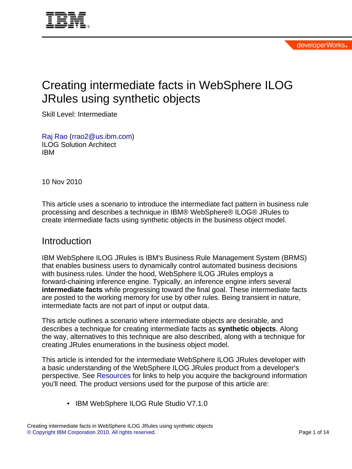<span id="page-0-0"></span>

# Creating intermediate facts in WebSphere ILOG JRules using synthetic objects

Skill Level: Intermediate

[Raj Rao](#page-13-0) ([rrao2@us.ibm.com](mailto:rrao2@us.ibm.com)) ILOG Solution Architect IBM

10 Nov 2010

This article uses a scenario to introduce the intermediate fact pattern in business rule processing and describes a technique in IBM® WebSphere® ILOG® JRules to create intermediate facts using synthetic objects in the business object model.

## **Introduction**

IBM WebSphere ILOG JRules is IBM's Business Rule Management System (BRMS) that enables business users to dynamically control automated business decisions with business rules. Under the hood, WebSphere ILOG JRules employs a forward-chaining inference engine. Typically, an inference engine infers several **intermediate facts** while progressing toward the final goal. These intermediate facts are posted to the working memory for use by other rules. Being transient in nature, intermediate facts are not part of input or output data.

This article outlines a scenario where intermediate objects are desirable, and describes a technique for creating intermediate facts as **synthetic objects**. Along the way, alternatives to this technique are also described, along with a technique for creating JRules enumerations in the business object model.

This article is intended for the intermediate WebSphere ILOG JRules developer with a basic understanding of the WebSphere ILOG JRules product from a developer's perspective. See [Resources](#page-13-1) for links to help you acquire the background information you'll need. The product versions used for the purpose of this article are:

• IBM WebSphere ILOG Rule Studio V7.1.0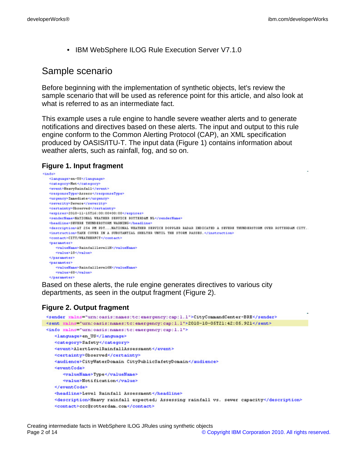• IBM WebSphere ILOG Rule Execution Server V7.1.0

## Sample scenario

Before beginning with the implementation of synthetic objects, let's review the sample scenario that will be used as reference point for this article, and also look at what is referred to as an intermediate fact.

This example uses a rule engine to handle severe weather alerts and to generate notifications and directives based on these alerts. The input and output to this rule engine conform to the Common Alerting Protocol (CAP), an XML specification produced by OASIS/ITU-T. The input data (Figure 1) contains information about weather alerts, such as rainfall, fog, and so on.

#### **Figure 1. Input fragment**

```
<info>
  <language>en-US</language>
  <category>Het</category
  <event>HeavyPainfall</event>
  <responseType>Assess</responseType>
  <urgency>Inmediate</urgency>
  <severity>Severe</severity>
  <certainty>Observed</certainty>
  <expires>2010-11-15T16:00:00+00:00</expires>
  <senderName>NATIONAL WEATHER SERVICE ROTTERDAM NL</senderName>
  <description>AT 254 PM PDT...NATIONAL WEATHER SERVICE DOPPLER RADAR INDICATED A SEVERE THUMDERSTORM OVER ROTTERDAM CITY..
  <instruction>TAKE COVER IN A SUBSTANTIAL SHELTER UNTIL THE STORM PASSES. </instruction>
  <contact>CITY/WEATHERFCT</contact>
  <parameter>
    <value>10</value>
  </parameter>
  <parameter>
    <walue>60</walue>
  </parameter>
```
Based on these alerts, the rule engine generates directives to various city departments, as seen in the output fragment (Figure 2).

#### **Figure 2. Output fragment**

```
<sender xmlns="urn:oasis:names:tc:emergency:cap:1.1">CityCommandCenter-BRE</sender>
<sent xmlns="urn:oasis:names:tc:emergency:cap:1.1">2010-10-05T21:42:05.921</sent>
<info xmlns="urn:oasis:names:tc:emergency:cap:1.1">
   <language>en_US</language>
   <category>Safety</category>
   <event>AlertLevelRainfallAssessment</event>
   <certainty>Observed</certainty>
   <audience>CityWaterDomain CityPublicSafetyDomain</audience>
   <eventCode>
      <valueName>Type</valueName>
      <value>Notification</value>
   </eventCode>
   <headline>Level Rainfall Assessment</headline>
   <description>Heavy rainfall expected; Assessing rainfall vs. sever capacity</description>
   <contact>ccc@rotterdam.com</contact>
```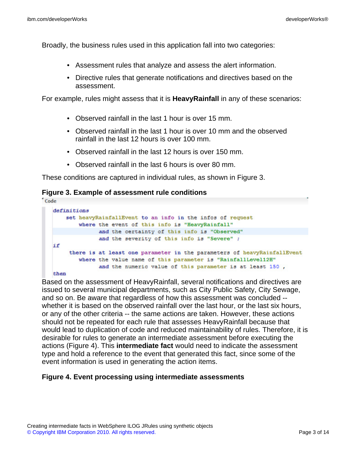Broadly, the business rules used in this application fall into two categories:

- Assessment rules that analyze and assess the alert information.
- Directive rules that generate notifications and directives based on the assessment.

For example, rules might assess that it is **HeavyRainfall** in any of these scenarios:

- Observed rainfall in the last 1 hour is over 15 mm.
- Observed rainfall in the last 1 hour is over 10 mm and the observed rainfall in the last 12 hours is over 100 mm.
- Observed rainfall in the last 12 hours is over 150 mm.
- Observed rainfall in the last 6 hours is over 80 mm.

These conditions are captured in individual rules, as shown in Figure 3.

#### **Figure 3. Example of assessment rule conditions**

Code

```
definitions
   set heavyRainfallEvent to an info in the infos of request
        where the event of this info is "HeavyRainfall"
             and the certainty of this info is "Observed"
             and the severity of this info is "Severe" ;
if
     there is at least one parameter in the parameters of heavyRainfallEvent
        where the value name of this parameter is "RainfallLevel12H"
              and the numeric value of this parameter is at least 150,
then
```
Based on the assessment of HeavyRainfall, several notifications and directives are issued to several municipal departments, such as City Public Safety, City Sewage, and so on. Be aware that regardless of how this assessment was concluded - whether it is based on the observed rainfall over the last hour, or the last six hours, or any of the other criteria -- the same actions are taken. However, these actions should not be repeated for each rule that assesses HeavyRainfall because that would lead to duplication of code and reduced maintainability of rules. Therefore, it is desirable for rules to generate an intermediate assessment before executing the actions (Figure 4). This **intermediate fact** would need to indicate the assessment type and hold a reference to the event that generated this fact, since some of the event information is used in generating the action items.

## **Figure 4. Event processing using intermediate assessments**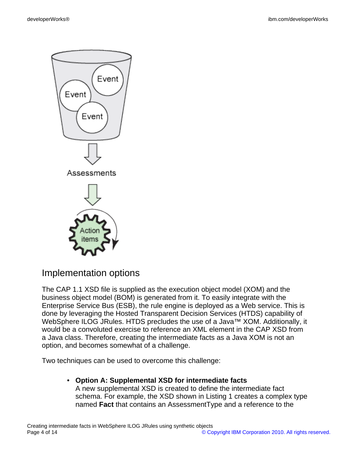

## Implementation options

The CAP 1.1 XSD file is supplied as the execution object model (XOM) and the business object model (BOM) is generated from it. To easily integrate with the Enterprise Service Bus (ESB), the rule engine is deployed as a Web service. This is done by leveraging the Hosted Transparent Decision Services (HTDS) capability of WebSphere ILOG JRules. HTDS precludes the use of a Java™ XOM. Additionally, it would be a convoluted exercise to reference an XML element in the CAP XSD from a Java class. Therefore, creating the intermediate facts as a Java XOM is not an option, and becomes somewhat of a challenge.

Two techniques can be used to overcome this challenge:

• **Option A: Supplemental XSD for intermediate facts** A new supplemental XSD is created to define the intermediate fact schema. For example, the XSD shown in Listing 1 creates a complex type named **Fact** that contains an AssessmentType and a reference to the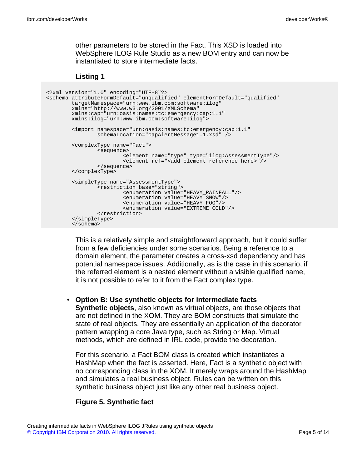other parameters to be stored in the Fact. This XSD is loaded into WebSphere ILOG Rule Studio as a new BOM entry and can now be instantiated to store intermediate facts.

#### **Listing 1**

```
<?xml version="1.0" encoding="UTF-8"?>
<schema attributeFormDefault="unqualified" elementFormDefault="qualified"
        targetNamespace="urn:www.ibm.com:software:ilog"
       xmlns="http://www.w3.org/2001/XMLSchema"
       xmlns:cap="urn:oasis:names:tc:emergency:cap:1.1"
       xmlns:ilog="urn:www.ibm.com:software:ilog">
        <import namespace="urn:oasis:names:tc:emergency:cap:1.1"
                schemaLocation="capAlertMessage1.1.xsd" />
        <complexType name="Fact">
               <sequence>
                        <element name="type" type="ilog:AssessmentType"/>
                        <element ref="<add element reference here>"/>
               </sequence>
        </complexType>
        <simpleType name="AssessmentType">
                <restriction base="string">
                       <enumeration value="HEAVY_RAINFALL"/>
                        <enumeration value="HEAVY SNOW"/>
                        <enumeration value="HEAVY FOG"/>
                        <enumeration value="EXTREME COLD"/>
                </restriction>
        </simpleType>
        </schema>
```
This is a relatively simple and straightforward approach, but it could suffer from a few deficiencies under some scenarios. Being a reference to a domain element, the parameter creates a cross-xsd dependency and has potential namespace issues. Additionally, as is the case in this scenario, if the referred element is a nested element without a visible qualified name, it is not possible to refer to it from the Fact complex type.

• **Option B: Use synthetic objects for intermediate facts Synthetic objects**, also known as virtual objects, are those objects that are not defined in the XOM. They are BOM constructs that simulate the state of real objects. They are essentially an application of the decorator

pattern wrapping a core Java type, such as String or Map. Virtual methods, which are defined in IRL code, provide the decoration.

For this scenario, a Fact BOM class is created which instantiates a HashMap when the fact is asserted. Here, Fact is a synthetic object with no corresponding class in the XOM. It merely wraps around the HashMap and simulates a real business object. Rules can be written on this synthetic business object just like any other real business object.

## **Figure 5. Synthetic fact**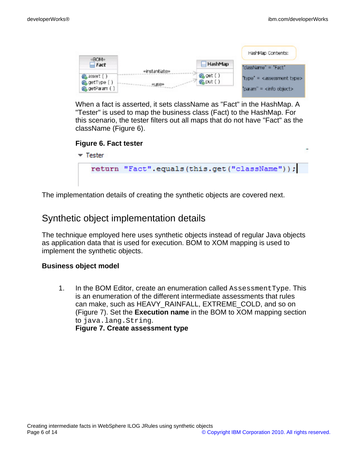|                                             |               |                      | HashMap Contents:                     |
|---------------------------------------------|---------------|----------------------|---------------------------------------|
| «BOM»<br>$=$ Fact                           |               | HashMap              | $className = Fact$                    |
| assert ()<br>as getType ()<br>@&getParam () | «instantiate» | 6% get ()<br>临put () | $'type' =  assessment type>param" = $ |

When a fact is asserted, it sets className as "Fact" in the HashMap. A "Tester" is used to map the business class (Fact) to the HashMap. For this scenario, the tester filters out all maps that do not have "Fact" as the className (Figure 6).



The implementation details of creating the synthetic objects are covered next.

# Synthetic object implementation details

The technique employed here uses synthetic objects instead of regular Java objects as application data that is used for execution. BOM to XOM mapping is used to implement the synthetic objects.

## **Business object model**

1. In the BOM Editor, create an enumeration called AssessmentType. This is an enumeration of the different intermediate assessments that rules can make, such as HEAVY\_RAINFALL, EXTREME\_COLD, and so on (Figure 7). Set the **Execution name** in the BOM to XOM mapping section to java.lang.String. **Figure 7. Create assessment type**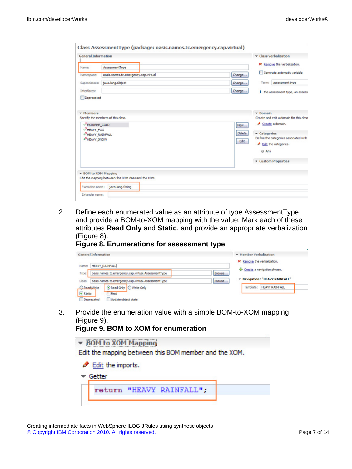| <b>General Information</b>                                                                                                                                          |                                                      | Class Verbalization                                                                                                                                                             |  |
|---------------------------------------------------------------------------------------------------------------------------------------------------------------------|------------------------------------------------------|---------------------------------------------------------------------------------------------------------------------------------------------------------------------------------|--|
| Name:                                                                                                                                                               | AssessmentType                                       | X Remove the verbalization.                                                                                                                                                     |  |
| Namespace:                                                                                                                                                          | oasis.names.tc.emergency.cap.virtual                 | Generate automatic variable<br>Change                                                                                                                                           |  |
| Superclasses:                                                                                                                                                       | java.lang.Object                                     | assessment type<br>Change<br>Term:                                                                                                                                              |  |
| Interfaces:                                                                                                                                                         |                                                      | Change<br>1 the assessment type, an assesse                                                                                                                                     |  |
| <b>v</b> Members<br>Specify the members of this class.<br>O <sup>S</sup> EXTREME_COLD<br>o <sup>S</sup> HEAVY_FOG<br>OF HEAVY_RAINFALL<br>o <sup>S</sup> HEAVY_SNOW |                                                      | $\sqrt{}$ Domain<br>Create and edit a domain for this class<br>Create a domain.<br>New<br><b>Delete</b><br><b>v</b> Categories<br>Define the categories associated with<br>Edit |  |
|                                                                                                                                                                     |                                                      |                                                                                                                                                                                 |  |
|                                                                                                                                                                     |                                                      | <b><i>A</i></b> Edit the categories.<br>@ Any                                                                                                                                   |  |
|                                                                                                                                                                     |                                                      | Custom Properties                                                                                                                                                               |  |
| ▼ BOM to XOM Mapping                                                                                                                                                | Edit the mapping between this BOM class and the XOM. |                                                                                                                                                                                 |  |
| Execution name:                                                                                                                                                     | java.lang.String                                     |                                                                                                                                                                                 |  |

2. Define each enumerated value as an attribute of type AssessmentType and provide a BOM-to-XOM mapping with the value. Mark each of these attributes **Read Only** and **Static**, and provide an appropriate verbalization (Figure 8).

# **Figure 8. Enumerations for assessment type**

|           | <b>General Information</b>                          |                                                     |        | • Member Verbalization             |  |  |
|-----------|-----------------------------------------------------|-----------------------------------------------------|--------|------------------------------------|--|--|
| Name:     | <b>HEAVY_RAINFALL</b>                               |                                                     |        | X Remove the verbalization.        |  |  |
| Type:     | oasis.names.tc.emergency.cap.virtual.AssessmentType |                                                     | Browse | - Create a navigation phrase.      |  |  |
| Class:    |                                                     | oasis.names.tc.emergency.cap.virtual.AssessmentType | Browse | * Navigation: "HEAVY RAINFALL"     |  |  |
| ReadMrite |                                                     | Read Only   O Write Only                            |        | <b>HEAVY RAINFALL</b><br>Template: |  |  |
| Static    |                                                     | Final                                               |        |                                    |  |  |
|           | Deprecated                                          | Update object state                                 |        |                                    |  |  |

3. Provide the enumeration value with a simple BOM-to-XOM mapping (Figure 9). **Figure 9. BOM to XOM for enumeration**

| $\overline{1}$ iquite 3. DOM to AOM for endineration<br>▼ BOM to XOM Mapping |                          |  |  |
|------------------------------------------------------------------------------|--------------------------|--|--|
| Edit the mapping between this BOM member and the XOM.                        |                          |  |  |
| Edit the imports.                                                            |                          |  |  |
| Getter                                                                       |                          |  |  |
|                                                                              | return "HEAVY RAINFALL"; |  |  |
|                                                                              |                          |  |  |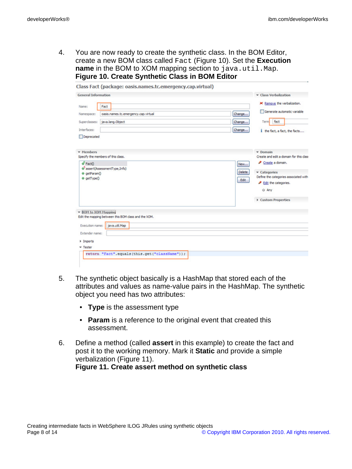4. You are now ready to create the synthetic class. In the BOM Editor, create a new BOM class called Fact (Figure 10). Set the **Execution name** in the BOM to XOM mapping section to java.util.Map. **Figure 10. Create Synthetic Class in BOM Editor**

| <b>General Information</b>                                                   | <b>v</b> Class Verbalization                  |
|------------------------------------------------------------------------------|-----------------------------------------------|
|                                                                              |                                               |
| Fact<br>Name:                                                                | X Remove the verbalization.                   |
| oasis.names.tc.emergency.cap.virtual<br>Namespace:                           | Generate automatic variable<br>Change         |
| java.lang.Object<br>Superclasses:                                            | fact<br>Change<br>Term                        |
| Interfaces:                                                                  | Change<br>1 the fact, a fact, the facts       |
| Deprecated                                                                   |                                               |
| <b>v</b> Members                                                             | $\sqrt{}$ Domain                              |
| Specify the members of this class.                                           | Create and edit a domain for this class       |
| of Fact()                                                                    | Create a domain.<br>New                       |
| @assert(AssessmentType,Info)<br>@ getParam()                                 | <b>Delete</b><br>v Categories                 |
| @ getType()                                                                  | Define the categories associated with<br>Edit |
|                                                                              | Edit the categories.                          |
|                                                                              | @ Any                                         |
|                                                                              | Custom Properties                             |
| ▼ BOM to XOM Mapping<br>Edit the mapping between this BOM class and the XOM. |                                               |
|                                                                              |                                               |
| java.util.Map<br>Execution name:                                             |                                               |
| <b>Extender name:</b>                                                        |                                               |
|                                                                              |                                               |
| Imports                                                                      |                                               |

- 5. The synthetic object basically is a HashMap that stored each of the attributes and values as name-value pairs in the HashMap. The synthetic object you need has two attributes:
	- **Type** is the assessment type
	- **Param** is a reference to the original event that created this assessment.
- 6. Define a method (called **assert** in this example) to create the fact and post it to the working memory. Mark it **Static** and provide a simple verbalization (Figure 11). **Figure 11. Create assert method on synthetic class**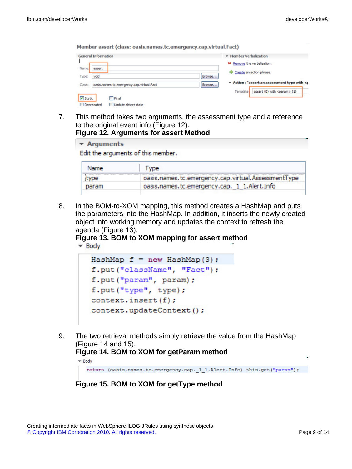| <b>General Information</b>                          | <b>v</b> Member Verbalization                               |
|-----------------------------------------------------|-------------------------------------------------------------|
|                                                     | X Remove the verbalization.                                 |
| Name:<br>assert                                     | <sup>4</sup> Create an action phrase.                       |
| void<br>Type:                                       | Browse                                                      |
| oasis.names.tc.emergency.cap.virtual.Fact<br>Class: | Action: "assert an assessment type with <p<br>Browse</p<br> |
|                                                     | assert {0} with <param/> {1}<br>Template:                   |

7. This method takes two arguments, the assessment type and a reference to the original event info (Figure 12). **Figure 12. Arguments for assert Method**

| $\blacktriangleright$ Arguments |                                                     |
|---------------------------------|-----------------------------------------------------|
|                                 | Edit the arguments of this member.                  |
|                                 |                                                     |
| Name                            | Type                                                |
| type                            | oasis.names.tc.emergency.cap.virtual.AssessmentType |

oasis.names.tc.emergency.cap.\_1\_1.Alert.Info

8. In the BOM-to-XOM mapping, this method creates a HashMap and puts the parameters into the HashMap. In addition, it inserts the newly created object into working memory and updates the context to refresh the agenda (Figure 13).

**Figure 13. BOM to XOM mapping for assert method**  $\blacktriangleright$  Body

```
HashMap f = new HashMap(3);
f.put("className", "Fact");
f.put("param", param);
f.put("type", type);
context.insert(f);
context.updateContext();
```
9. The two retrieval methods simply retrieve the value from the HashMap (Figure 14 and 15).

## **Figure 14. BOM to XOM for getParam method**

```
\blacktriangledown Body
```
param

```
return (oasis.names.tc.emergency.cap. 1 1.Alert.Info) this.get("param");
```
**Figure 15. BOM to XOM for getType method**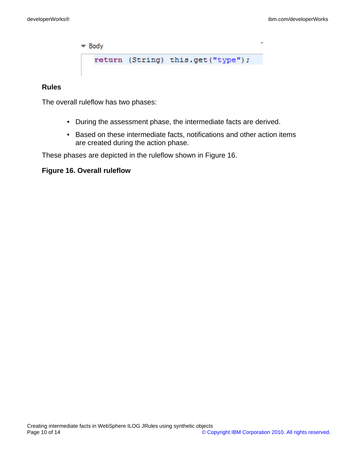$\blacktriangleright$  Body

return (String) this.get("type");

#### **Rules**

The overall ruleflow has two phases:

- During the assessment phase, the intermediate facts are derived.
- Based on these intermediate facts, notifications and other action items are created during the action phase.

These phases are depicted in the ruleflow shown in Figure 16.

#### **Figure 16. Overall ruleflow**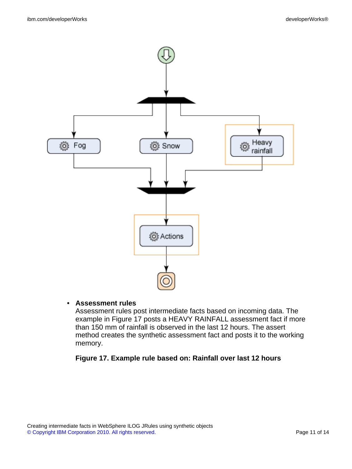

#### • **Assessment rules**

Assessment rules post intermediate facts based on incoming data. The example in Figure 17 posts a HEAVY RAINFALL assessment fact if more than 150 mm of rainfall is observed in the last 12 hours. The assert method creates the synthetic assessment fact and posts it to the working memory.

## **Figure 17. Example rule based on: Rainfall over last 12 hours**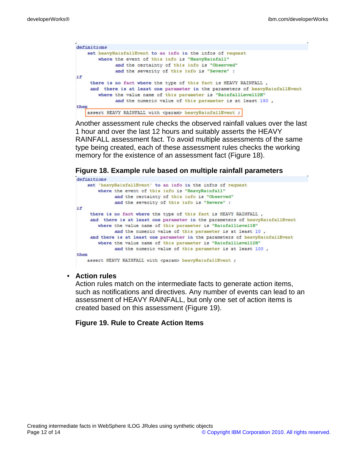```
definitions
    set heavyRainfallEvent to an info in the infos of request
        where the event of this info is "HeavyRainfall"
              and the certainty of this info is "Observed"
              and the severity of this info is "Severe" ;
ifthere is no fact where the type of this fact is HEAVY RAINFALL,
     and there is at least one parameter in the parameters of heavyRainfallEvent
       where the value name of this parameter is "RainfallLevel12H"
             and the numeric value of this parameter is at least 150,
then
    assert HEAVY RAINFALL with <param> heavyRainfallEvent ;
```
Another assessment rule checks the observed rainfall values over the last 1 hour and over the last 12 hours and suitably asserts the HEAVY RAINFALL assessment fact. To avoid multiple assessments of the same type being created, each of these assessment rules checks the working memory for the existence of an assessment fact (Figure 18).

#### **Figure 18. Example rule based on multiple rainfall parameters**

```
definitions
   set 'heavyRainfallEvent' to an info in the infos of request
       where the event of this info is "HeavyRainfall"
             and the certainty of this info is "Observed"
             and the severity of this info is "Severe" ;
ifthere is no fact where the type of this fact is HEAVY RAINFALL,
    and there is at least one parameter in the parameters of heavyRainfallEvent
       where the value name of this parameter is "RainfallLevel1H"
             and the numeric value of this parameter is at least 10,
    and there is at least one parameter in the parameters of heavyRainfallEvent
       where the value name of this parameter is "RainfallLevel12H"
             and the numeric value of this parameter is at least 100,
then
   assert HEAVY RAINFALL with <param> heavyRainfallEvent ;
```
#### • **Action rules**

Action rules match on the intermediate facts to generate action items, such as notifications and directives. Any number of events can lead to an assessment of HEAVY RAINFALL, but only one set of action items is created based on this assessment (Figure 19).

#### **Figure 19. Rule to Create Action Items**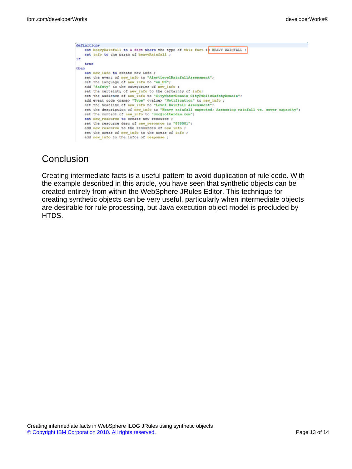| definitions |                                                                                                      |
|-------------|------------------------------------------------------------------------------------------------------|
|             | set heavyRainfall to a fact where the type of this fact is HEAVY RAINFALL ;                          |
|             | set info to the param of heavyRainfall ;                                                             |
| 1£          |                                                                                                      |
| true        |                                                                                                      |
| then        |                                                                                                      |
|             | set new info to create new info ;                                                                    |
|             | set the event of new info to "AlertLevelRainfallAssessment";                                         |
|             | set the language of new info to "en US";                                                             |
|             | add "Safety" to the categories of new info ;                                                         |
|             | set the certainty of new info to the certainty of info;                                              |
|             | set the audience of new info to "CityWaterDomain CityPublicSafetyDomain";                            |
|             | add event code <name> "Type" <value> "Notification" to new info ;</value></name>                     |
|             | set the headline of new info to "Level Rainfall Assessment";                                         |
|             | set the description of new info to "Heavy rainfall expected: Assessing rainfall vs. sewer capacity"; |
|             | set the contact of new info to "coo@rotterdam.com";                                                  |
|             | set new resource to create new resource ;                                                            |
|             | set the resource desc of new resource to "888001";                                                   |
|             | add new resource to the resources of new info ;                                                      |
|             | set the areas of new info to the areas of info ;                                                     |
|             | add new info to the infos of response;                                                               |

# **Conclusion**

Creating intermediate facts is a useful pattern to avoid duplication of rule code. With the example described in this article, you have seen that synthetic objects can be created entirely from within the WebSphere JRules Editor. This technique for creating synthetic objects can be very useful, particularly when intermediate objects are desirable for rule processing, but Java execution object model is precluded by HTDS.